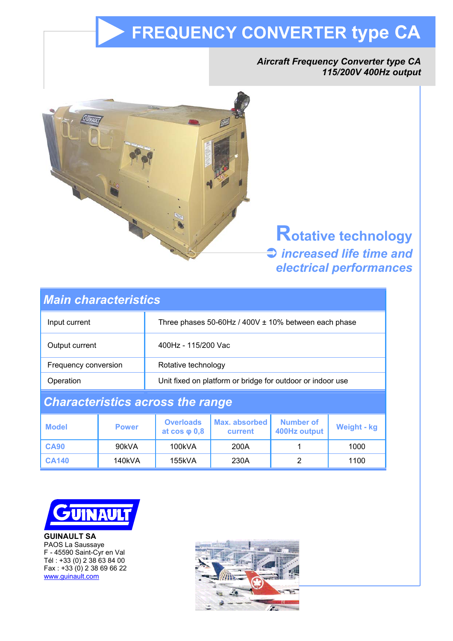# **FREQUENCY CONVERTER type CA**

# *Aircraft Frequency Converter type CA 115/200V 400Hz output*



**Rotative technology**  $\bigcirc$  *increased life time and electrical performances*

| <b>Main characteristics</b>             |              |                                                            |                          |                                  |             |
|-----------------------------------------|--------------|------------------------------------------------------------|--------------------------|----------------------------------|-------------|
| Input current                           |              | Three phases 50-60Hz / 400V ± 10% between each phase       |                          |                                  |             |
| Output current                          |              | 400Hz - 115/200 Vac                                        |                          |                                  |             |
| Frequency conversion                    |              | Rotative technology                                        |                          |                                  |             |
| Operation                               |              | Unit fixed on platform or bridge for outdoor or indoor use |                          |                                  |             |
| <b>Characteristics across the range</b> |              |                                                            |                          |                                  |             |
| <b>Model</b>                            | <b>Power</b> | <b>Overloads</b><br>at $cos \varphi 0,8$                   | Max. absorbed<br>current | <b>Number of</b><br>400Hz output | Weight - kg |
| <b>CA90</b>                             | 90kVA        | 100kVA                                                     | 200A                     | 1                                | 1000        |
| <b>CA140</b>                            | 140kVA       | 155kVA                                                     | 230A                     | $\overline{2}$                   | 1100        |



**GUINAULT SA**  PAOS La Saussaye F - 45590 Saint-Cyr en Val Tél : +33 (0) 2 38 63 84 00 Fax : +33 (0) 2 38 69 66 22 www.guinault.com